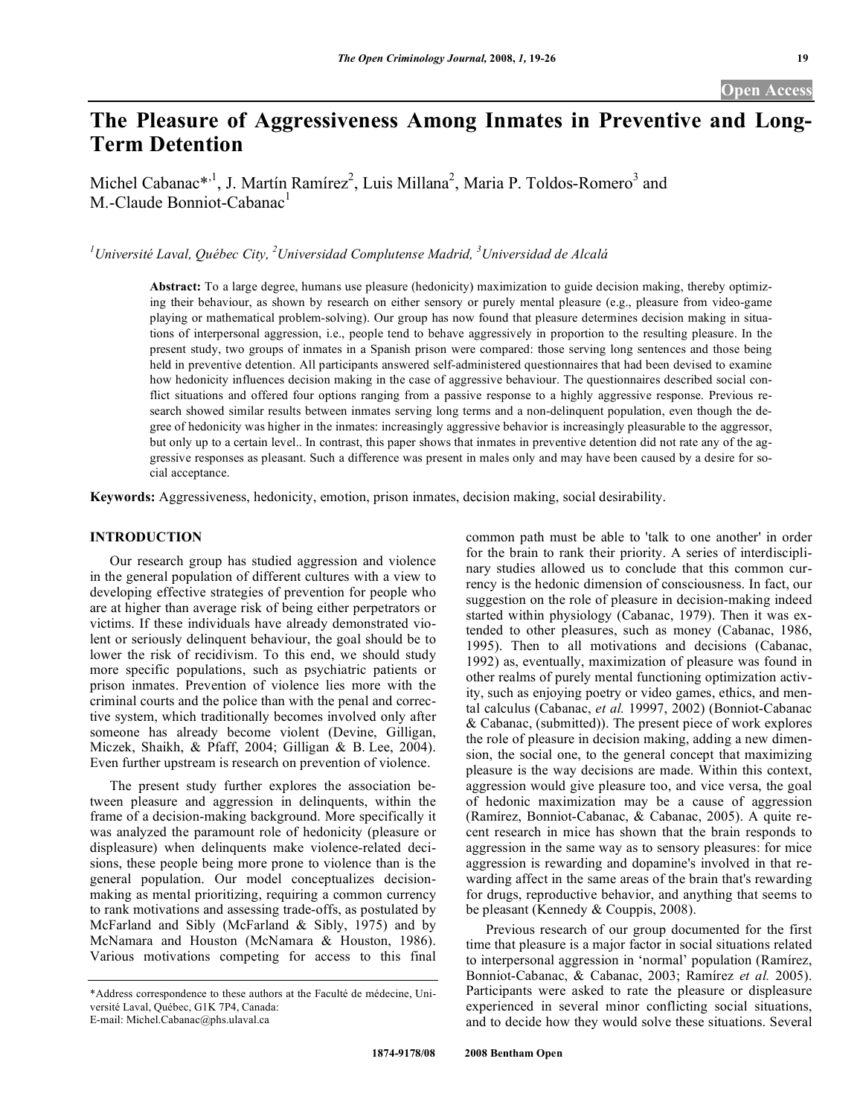# **The Pleasure of Aggressiveness Among Inmates in Preventive and Long-Term Detention**

Michel Cabanac\*,<sup>1</sup>, J. Martín Ramírez<sup>2</sup>, Luis Millana<sup>2</sup>, Maria P. Toldos-Romero<sup>3</sup> and M.-Claude Bonniot-Cabanac<sup>1</sup>

*1 Université Laval, Québec City, 2 Universidad Complutense Madrid, 3 Universidad de Alcalá* 

**Abstract:** To a large degree, humans use pleasure (hedonicity) maximization to guide decision making, thereby optimizing their behaviour, as shown by research on either sensory or purely mental pleasure (e.g., pleasure from video-game playing or mathematical problem-solving). Our group has now found that pleasure determines decision making in situations of interpersonal aggression, i.e., people tend to behave aggressively in proportion to the resulting pleasure. In the present study, two groups of inmates in a Spanish prison were compared: those serving long sentences and those being held in preventive detention. All participants answered self-administered questionnaires that had been devised to examine how hedonicity influences decision making in the case of aggressive behaviour. The questionnaires described social conflict situations and offered four options ranging from a passive response to a highly aggressive response. Previous research showed similar results between inmates serving long terms and a non-delinquent population, even though the degree of hedonicity was higher in the inmates: increasingly aggressive behavior is increasingly pleasurable to the aggressor, but only up to a certain level.. In contrast, this paper shows that inmates in preventive detention did not rate any of the aggressive responses as pleasant. Such a difference was present in males only and may have been caused by a desire for social acceptance.

**Keywords:** Aggressiveness, hedonicity, emotion, prison inmates, decision making, social desirability.

# **INTRODUCTION**

 Our research group has studied aggression and violence in the general population of different cultures with a view to developing effective strategies of prevention for people who are at higher than average risk of being either perpetrators or victims. If these individuals have already demonstrated violent or seriously delinquent behaviour, the goal should be to lower the risk of recidivism. To this end, we should study more specific populations, such as psychiatric patients or prison inmates. Prevention of violence lies more with the criminal courts and the police than with the penal and corrective system, which traditionally becomes involved only after someone has already become violent (Devine, Gilligan, Miczek, Shaikh, & Pfaff, 2004; Gilligan & B. Lee, 2004). Even further upstream is research on prevention of violence.

 The present study further explores the association between pleasure and aggression in delinquents, within the frame of a decision-making background. More specifically it was analyzed the paramount role of hedonicity (pleasure or displeasure) when delinquents make violence-related decisions, these people being more prone to violence than is the general population. Our model conceptualizes decisionmaking as mental prioritizing, requiring a common currency to rank motivations and assessing trade-offs, as postulated by McFarland and Sibly (McFarland & Sibly, 1975) and by McNamara and Houston (McNamara & Houston, 1986). Various motivations competing for access to this final

common path must be able to 'talk to one another' in order for the brain to rank their priority. A series of interdisciplinary studies allowed us to conclude that this common currency is the hedonic dimension of consciousness. In fact, our suggestion on the role of pleasure in decision-making indeed started within physiology (Cabanac, 1979). Then it was extended to other pleasures, such as money (Cabanac, 1986, 1995). Then to all motivations and decisions (Cabanac, 1992) as, eventually, maximization of pleasure was found in other realms of purely mental functioning optimization activity, such as enjoying poetry or video games, ethics, and mental calculus (Cabanac, *et al.* 19997, 2002) (Bonniot-Cabanac & Cabanac, (submitted)). The present piece of work explores the role of pleasure in decision making, adding a new dimension, the social one, to the general concept that maximizing pleasure is the way decisions are made. Within this context, aggression would give pleasure too, and vice versa, the goal of hedonic maximization may be a cause of aggression (Ramírez, Bonniot-Cabanac, & Cabanac, 2005). A quite recent research in mice has shown that the brain responds to aggression in the same way as to sensory pleasures: for mice aggression is rewarding and dopamine's involved in that rewarding affect in the same areas of the brain that's rewarding for drugs, reproductive behavior, and anything that seems to be pleasant (Kennedy & Couppis, 2008).

 Previous research of our group documented for the first time that pleasure is a major factor in social situations related to interpersonal aggression in 'normal' population (Ramírez, Bonniot-Cabanac, & Cabanac, 2003; Ramírez *et al.* 2005). Participants were asked to rate the pleasure or displeasure experienced in several minor conflicting social situations, and to decide how they would solve these situations. Several

<sup>\*</sup>Address correspondence to these authors at the Faculté de médecine, Université Laval, Québec, G1K 7P4, Canada: E-mail: Michel.Cabanac@phs.ulaval.ca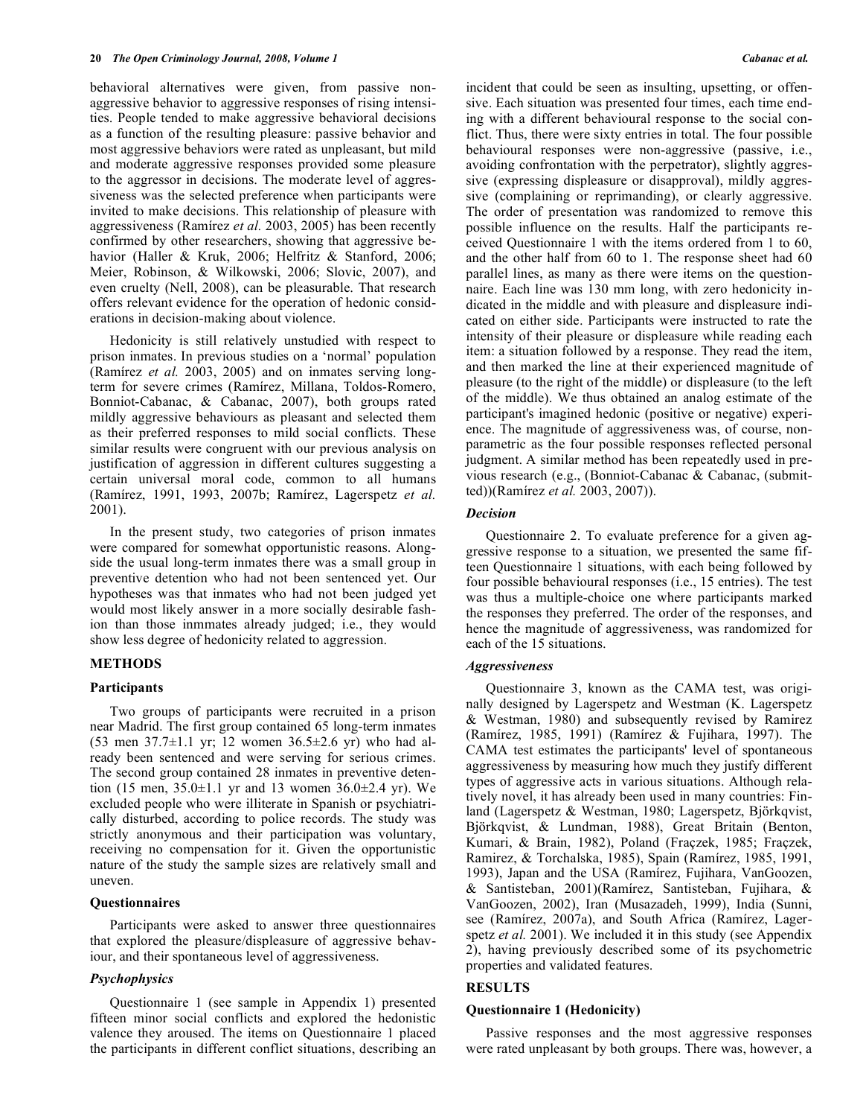behavioral alternatives were given, from passive nonaggressive behavior to aggressive responses of rising intensities. People tended to make aggressive behavioral decisions as a function of the resulting pleasure: passive behavior and most aggressive behaviors were rated as unpleasant, but mild and moderate aggressive responses provided some pleasure to the aggressor in decisions. The moderate level of aggressiveness was the selected preference when participants were invited to make decisions. This relationship of pleasure with aggressiveness (Ramírez *et al.* 2003, 2005) has been recently confirmed by other researchers, showing that aggressive behavior (Haller & Kruk, 2006; Helfritz & Stanford, 2006; Meier, Robinson, & Wilkowski, 2006; Slovic, 2007), and even cruelty (Nell, 2008), can be pleasurable. That research offers relevant evidence for the operation of hedonic considerations in decision-making about violence.

 Hedonicity is still relatively unstudied with respect to prison inmates. In previous studies on a 'normal' population (Ramírez *et al.* 2003, 2005) and on inmates serving longterm for severe crimes (Ramírez, Millana, Toldos-Romero, Bonniot-Cabanac, & Cabanac, 2007), both groups rated mildly aggressive behaviours as pleasant and selected them as their preferred responses to mild social conflicts. These similar results were congruent with our previous analysis on justification of aggression in different cultures suggesting a certain universal moral code, common to all humans (Ramírez, 1991, 1993, 2007b; Ramírez, Lagerspetz *et al.* 2001).

 In the present study, two categories of prison inmates were compared for somewhat opportunistic reasons. Alongside the usual long-term inmates there was a small group in preventive detention who had not been sentenced yet. Our hypotheses was that inmates who had not been judged yet would most likely answer in a more socially desirable fashion than those inmmates already judged; i.e., they would show less degree of hedonicity related to aggression.

### **METHODS**

### **Participants**

 Two groups of participants were recruited in a prison near Madrid. The first group contained 65 long-term inmates (53 men 37.7±1.1 yr; 12 women 36.5±2.6 yr) who had already been sentenced and were serving for serious crimes. The second group contained 28 inmates in preventive detention (15 men,  $35.0 \pm 1.1$  yr and 13 women  $36.0 \pm 2.4$  yr). We excluded people who were illiterate in Spanish or psychiatrically disturbed, according to police records. The study was strictly anonymous and their participation was voluntary, receiving no compensation for it. Given the opportunistic nature of the study the sample sizes are relatively small and uneven.

### **Questionnaires**

 Participants were asked to answer three questionnaires that explored the pleasure/displeasure of aggressive behaviour, and their spontaneous level of aggressiveness.

### *Psychophysics*

 Questionnaire 1 (see sample in Appendix 1) presented fifteen minor social conflicts and explored the hedonistic valence they aroused. The items on Questionnaire 1 placed the participants in different conflict situations, describing an incident that could be seen as insulting, upsetting, or offensive. Each situation was presented four times, each time ending with a different behavioural response to the social conflict. Thus, there were sixty entries in total. The four possible behavioural responses were non-aggressive (passive, i.e., avoiding confrontation with the perpetrator), slightly aggressive (expressing displeasure or disapproval), mildly aggressive (complaining or reprimanding), or clearly aggressive. The order of presentation was randomized to remove this possible influence on the results. Half the participants received Questionnaire 1 with the items ordered from 1 to 60, and the other half from 60 to 1. The response sheet had 60 parallel lines, as many as there were items on the questionnaire. Each line was 130 mm long, with zero hedonicity indicated in the middle and with pleasure and displeasure indicated on either side. Participants were instructed to rate the intensity of their pleasure or displeasure while reading each item: a situation followed by a response. They read the item, and then marked the line at their experienced magnitude of pleasure (to the right of the middle) or displeasure (to the left of the middle). We thus obtained an analog estimate of the participant's imagined hedonic (positive or negative) experience. The magnitude of aggressiveness was, of course, nonparametric as the four possible responses reflected personal judgment. A similar method has been repeatedly used in previous research (e.g., (Bonniot-Cabanac & Cabanac, (submitted))(Ramírez *et al.* 2003, 2007)).

### *Decision*

 Questionnaire 2. To evaluate preference for a given aggressive response to a situation, we presented the same fifteen Questionnaire 1 situations, with each being followed by four possible behavioural responses (i.e., 15 entries). The test was thus a multiple-choice one where participants marked the responses they preferred. The order of the responses, and hence the magnitude of aggressiveness, was randomized for each of the 15 situations.

### *Aggressiveness*

 Questionnaire 3, known as the CAMA test, was originally designed by Lagerspetz and Westman (K. Lagerspetz & Westman, 1980) and subsequently revised by Ramirez (Ramírez, 1985, 1991) (Ramírez & Fujihara, 1997). The CAMA test estimates the participants' level of spontaneous aggressiveness by measuring how much they justify different types of aggressive acts in various situations. Although relatively novel, it has already been used in many countries: Finland (Lagerspetz & Westman, 1980; Lagerspetz, Björkqvist, Björkqvist, & Lundman, 1988), Great Britain (Benton, Kumari, & Brain, 1982), Poland (Fraçzek, 1985; Fraçzek, Ramirez, & Torchalska, 1985), Spain (Ramírez, 1985, 1991, 1993), Japan and the USA (Ramírez, Fujihara, VanGoozen, & Santisteban, 2001)(Ramírez, Santisteban, Fujihara, & VanGoozen, 2002), Iran (Musazadeh, 1999), India (Sunni, see (Ramírez, 2007a), and South Africa (Ramírez, Lagerspetz *et al.* 2001). We included it in this study (see Appendix 2), having previously described some of its psychometric properties and validated features.

### **RESULTS**

### **Questionnaire 1 (Hedonicity)**

 Passive responses and the most aggressive responses were rated unpleasant by both groups. There was, however, a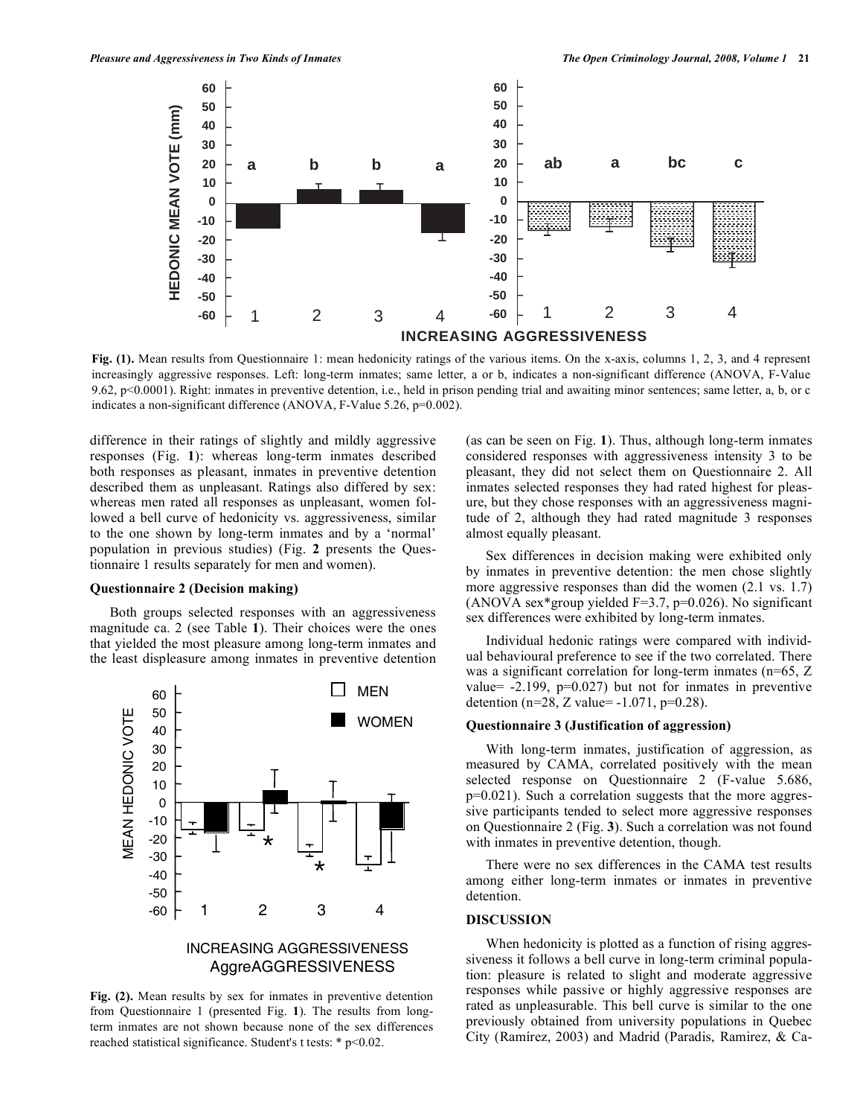

**Fig. (1).** Mean results from Questionnaire 1: mean hedonicity ratings of the various items. On the x-axis, columns 1, 2, 3, and 4 represent increasingly aggressive responses. Left: long-term inmates; same letter, a or b, indicates a non-significant difference (ANOVA, F-Value 9.62, p<0.0001). Right: inmates in preventive detention, i.e., held in prison pending trial and awaiting minor sentences; same letter, a, b, or c indicates a non-significant difference (ANOVA, F-Value 5.26, p=0.002).

difference in their ratings of slightly and mildly aggressive responses (Fig. **1**): whereas long-term inmates described both responses as pleasant, inmates in preventive detention described them as unpleasant. Ratings also differed by sex: whereas men rated all responses as unpleasant, women followed a bell curve of hedonicity vs. aggressiveness, similar to the one shown by long-term inmates and by a 'normal' population in previous studies) (Fig. **2** presents the Questionnaire 1 results separately for men and women).

### **Questionnaire 2 (Decision making)**

 Both groups selected responses with an aggressiveness magnitude ca. 2 (see Table **1**). Their choices were the ones that yielded the most pleasure among long-term inmates and the least displeasure among inmates in preventive detention



**Fig. (2).** Mean results by sex for inmates in preventive detention from Questionnaire 1 (presented Fig. **1**). The results from longterm inmates are not shown because none of the sex differences reached statistical significance. Student's t tests: \* p<0.02.

(as can be seen on Fig. **1**). Thus, although long-term inmates considered responses with aggressiveness intensity 3 to be pleasant, they did not select them on Questionnaire 2. All inmates selected responses they had rated highest for pleasure, but they chose responses with an aggressiveness magnitude of 2, although they had rated magnitude 3 responses almost equally pleasant.

 Sex differences in decision making were exhibited only by inmates in preventive detention: the men chose slightly more aggressive responses than did the women  $(2.1 \text{ vs. } 1.7)$ (ANOVA sex\*group yielded  $F=3.7$ , p=0.026). No significant sex differences were exhibited by long-term inmates.

 Individual hedonic ratings were compared with individual behavioural preference to see if the two correlated. There was a significant correlation for long-term inmates (n=65, Z) value=  $-2.199$ ,  $p=0.027$ ) but not for inmates in preventive detention (n=28, Z value=  $-1.071$ , p=0.28).

### **Questionnaire 3 (Justification of aggression)**

 With long-term inmates, justification of aggression, as measured by CAMA, correlated positively with the mean selected response on Questionnaire 2 (F-value 5.686, p=0.021). Such a correlation suggests that the more aggressive participants tended to select more aggressive responses on Questionnaire 2 (Fig. **3**). Such a correlation was not found with inmates in preventive detention, though.

 There were no sex differences in the CAMA test results among either long-term inmates or inmates in preventive detention.

### **DISCUSSION**

When hedonicity is plotted as a function of rising aggressiveness it follows a bell curve in long-term criminal population: pleasure is related to slight and moderate aggressive responses while passive or highly aggressive responses are rated as unpleasurable. This bell curve is similar to the one previously obtained from university populations in Quebec City (Ramírez, 2003) and Madrid (Paradis, Ramirez, & Ca-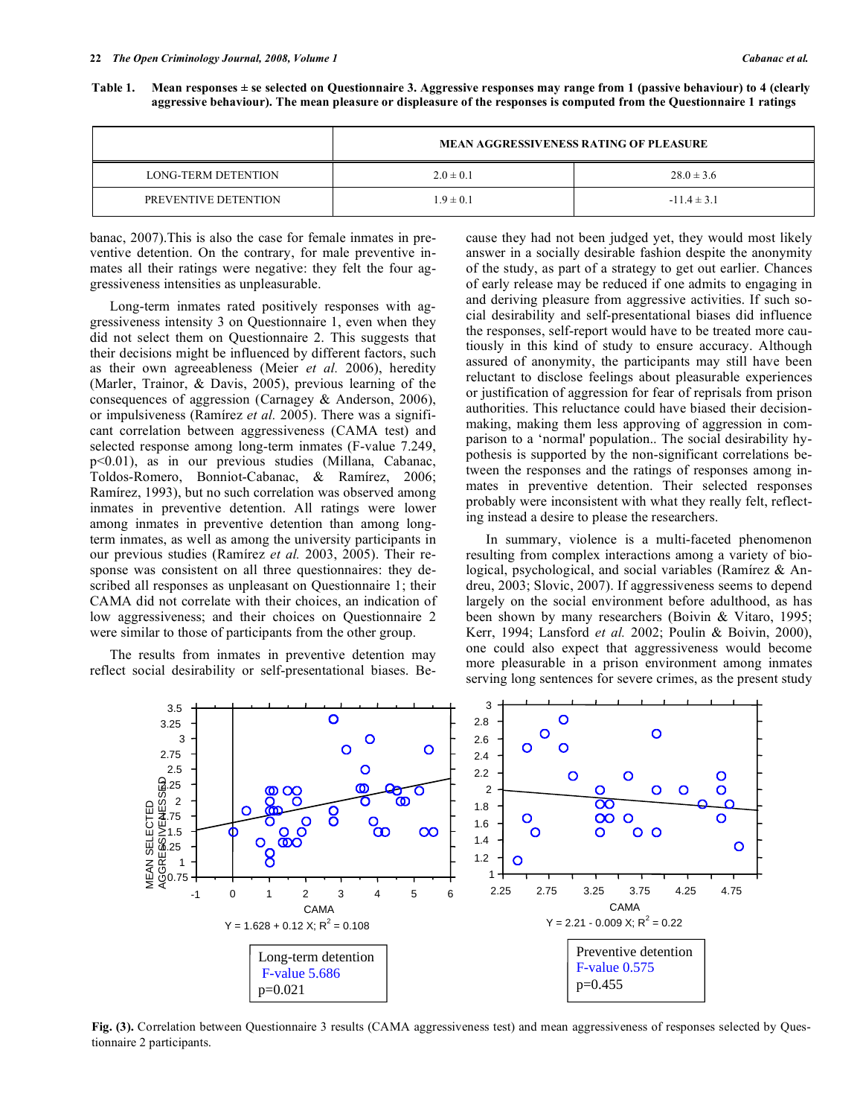| Table 1. Mean responses ± se selected on Questionnaire 3. Aggressive responses may range from 1 (passive behaviour) to 4 (clearly |
|-----------------------------------------------------------------------------------------------------------------------------------|
| aggressive behaviour). The mean pleasure or displeasure of the responses is computed from the Questionnaire 1 ratings             |

|                            | <b>MEAN AGGRESSIVENESS RATING OF PLEASURE</b> |                 |
|----------------------------|-----------------------------------------------|-----------------|
| <b>LONG-TERM DETENTION</b> | $2.0 \pm 0.1$                                 | $28.0 \pm 3.6$  |
| PREVENTIVE DETENTION       | $1.9 \pm 0.1$                                 | $-11.4 \pm 3.1$ |

banac, 2007).This is also the case for female inmates in preventive detention. On the contrary, for male preventive inmates all their ratings were negative: they felt the four aggressiveness intensities as unpleasurable.

 Long-term inmates rated positively responses with aggressiveness intensity 3 on Questionnaire 1, even when they did not select them on Questionnaire 2. This suggests that their decisions might be influenced by different factors, such as their own agreeableness (Meier *et al.* 2006), heredity (Marler, Trainor, & Davis, 2005), previous learning of the consequences of aggression (Carnagey & Anderson, 2006), or impulsiveness (Ramírez *et al.* 2005). There was a significant correlation between aggressiveness (CAMA test) and selected response among long-term inmates (F-value 7.249, p<0.01), as in our previous studies (Millana, Cabanac, Toldos-Romero, Bonniot-Cabanac, & Ramírez, 2006; Ramírez, 1993), but no such correlation was observed among inmates in preventive detention. All ratings were lower among inmates in preventive detention than among longterm inmates, as well as among the university participants in our previous studies (Ramírez *et al.* 2003, 2005). Their response was consistent on all three questionnaires: they described all responses as unpleasant on Questionnaire 1; their CAMA did not correlate with their choices, an indication of low aggressiveness; and their choices on Questionnaire 2 were similar to those of participants from the other group.

 The results from inmates in preventive detention may reflect social desirability or self-presentational biases. Because they had not been judged yet, they would most likely answer in a socially desirable fashion despite the anonymity of the study, as part of a strategy to get out earlier. Chances of early release may be reduced if one admits to engaging in and deriving pleasure from aggressive activities. If such social desirability and self-presentational biases did influence the responses, self-report would have to be treated more cautiously in this kind of study to ensure accuracy. Although assured of anonymity, the participants may still have been reluctant to disclose feelings about pleasurable experiences or justification of aggression for fear of reprisals from prison authorities. This reluctance could have biased their decisionmaking, making them less approving of aggression in comparison to a 'normal' population.. The social desirability hypothesis is supported by the non-significant correlations between the responses and the ratings of responses among inmates in preventive detention. Their selected responses probably were inconsistent with what they really felt, reflecting instead a desire to please the researchers.

 In summary, violence is a multi-faceted phenomenon resulting from complex interactions among a variety of biological, psychological, and social variables (Ramírez & Andreu, 2003; Slovic, 2007). If aggressiveness seems to depend largely on the social environment before adulthood, as has been shown by many researchers (Boivin & Vitaro, 1995; Kerr, 1994; Lansford *et al.* 2002; Poulin & Boivin, 2000), one could also expect that aggressiveness would become more pleasurable in a prison environment among inmates serving long sentences for severe crimes, as the present study



**Fig. (3).** Correlation between Questionnaire 3 results (CAMA aggressiveness test) and mean aggressiveness of responses selected by Questionnaire 2 participants.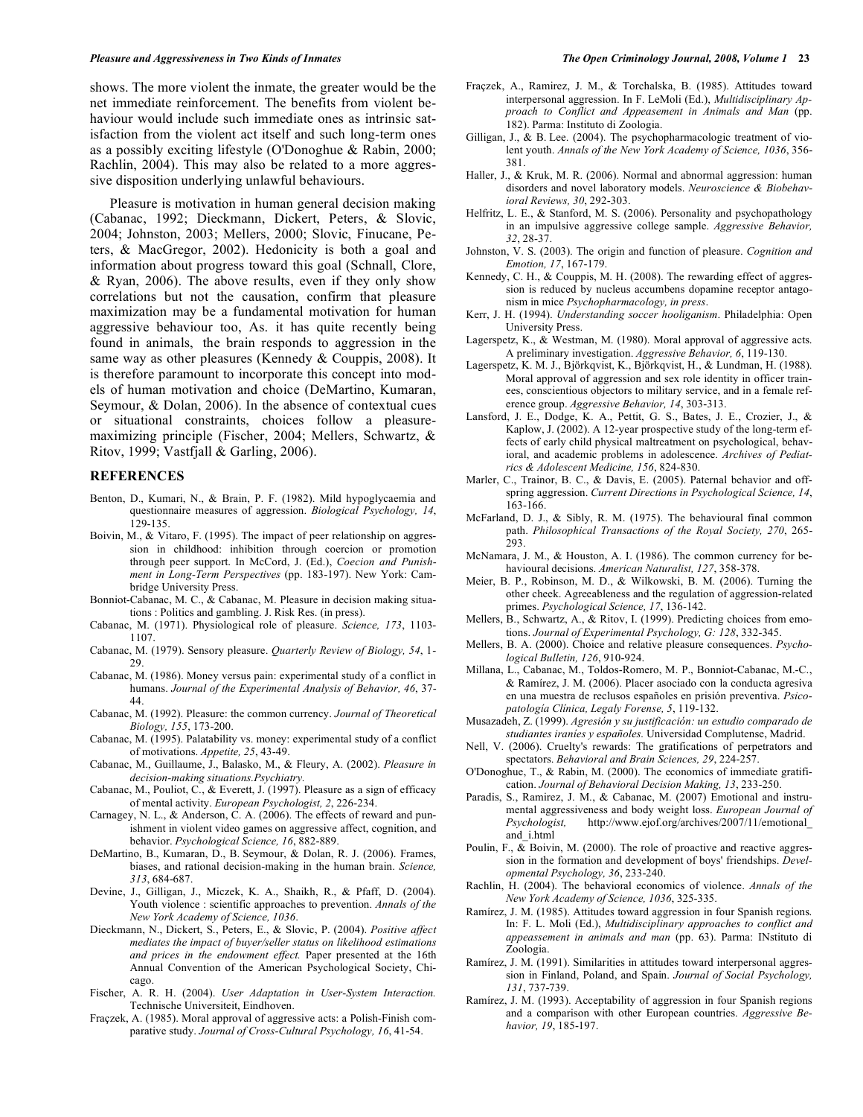shows. The more violent the inmate, the greater would be the net immediate reinforcement. The benefits from violent behaviour would include such immediate ones as intrinsic satisfaction from the violent act itself and such long-term ones as a possibly exciting lifestyle (O'Donoghue & Rabin, 2000; Rachlin, 2004). This may also be related to a more aggressive disposition underlying unlawful behaviours.

 Pleasure is motivation in human general decision making (Cabanac, 1992; Dieckmann, Dickert, Peters, & Slovic, 2004; Johnston, 2003; Mellers, 2000; Slovic, Finucane, Peters, & MacGregor, 2002). Hedonicity is both a goal and information about progress toward this goal (Schnall, Clore, & Ryan, 2006). The above results, even if they only show correlations but not the causation, confirm that pleasure maximization may be a fundamental motivation for human aggressive behaviour too, As. it has quite recently being found in animals, the brain responds to aggression in the same way as other pleasures (Kennedy & Couppis, 2008). It is therefore paramount to incorporate this concept into models of human motivation and choice (DeMartino, Kumaran, Seymour, & Dolan, 2006). In the absence of contextual cues or situational constraints, choices follow a pleasuremaximizing principle (Fischer, 2004; Mellers, Schwartz, & Ritov, 1999; Vastfjall & Garling, 2006).

### **REFERENCES**

- Benton, D., Kumari, N., & Brain, P. F. (1982). Mild hypoglycaemia and questionnaire measures of aggression. *Biological Psychology, 14*, 129-135.
- Boivin, M., & Vitaro, F. (1995). The impact of peer relationship on aggression in childhood: inhibition through coercion or promotion through peer support. In McCord, J. (Ed.), *Coecion and Punishment in Long-Term Perspectives* (pp. 183-197). New York: Cambridge University Press.
- Bonniot-Cabanac, M. C., & Cabanac, M. Pleasure in decision making situations : Politics and gambling. J. Risk Res. (in press).
- Cabanac, M. (1971). Physiological role of pleasure. *Science, 173*, 1103- 1107.
- Cabanac, M. (1979). Sensory pleasure. *Quarterly Review of Biology, 54*, 1- 29.
- Cabanac, M. (1986). Money versus pain: experimental study of a conflict in humans. *Journal of the Experimental Analysis of Behavior, 46*, 37- 44.
- Cabanac, M. (1992). Pleasure: the common currency. *Journal of Theoretical Biology, 155*, 173-200.
- Cabanac, M. (1995). Palatability vs. money: experimental study of a conflict of motivations. *Appetite, 25*, 43-49.
- Cabanac, M., Guillaume, J., Balasko, M., & Fleury, A. (2002). *Pleasure in decision-making situations.Psychiatry.*
- Cabanac, M., Pouliot, C., & Everett, J. (1997). Pleasure as a sign of efficacy of mental activity. *European Psychologist, 2*, 226-234.
- Carnagey, N. L., & Anderson, C. A. (2006). The effects of reward and punishment in violent video games on aggressive affect, cognition, and behavior. *Psychological Science, 16*, 882-889.
- DeMartino, B., Kumaran, D., B. Seymour, & Dolan, R. J. (2006). Frames, biases, and rational decision-making in the human brain. *Science, 313*, 684-687.
- Devine, J., Gilligan, J., Miczek, K. A., Shaikh, R., & Pfaff, D. (2004). Youth violence : scientific approaches to prevention. *Annals of the New York Academy of Science, 1036*.
- Dieckmann, N., Dickert, S., Peters, E., & Slovic, P. (2004). *Positive affect mediates the impact of buyer/seller status on likelihood estimations and prices in the endowment effect.* Paper presented at the 16th Annual Convention of the American Psychological Society, Chicago.
- Fischer, A. R. H. (2004). *User Adaptation in User-System Interaction.* Technische Universiteit, Eindhoven.
- Fraçzek, A. (1985). Moral approval of aggressive acts: a Polish-Finish comparative study. *Journal of Cross-Cultural Psychology, 16*, 41-54.
- Fraçzek, A., Ramirez, J. M., & Torchalska, B. (1985). Attitudes toward interpersonal aggression. In F. LeMoli (Ed.), *Multidisciplinary Approach to Conflict and Appeasement in Animals and Man* (pp. 182). Parma: Instituto di Zoologia.
- Gilligan, J., & B. Lee. (2004). The psychopharmacologic treatment of violent youth. *Annals of the New York Academy of Science, 1036*, 356- 381.
- Haller, J., & Kruk, M. R. (2006). Normal and abnormal aggression: human disorders and novel laboratory models. *Neuroscience & Biobehavioral Reviews, 30*, 292-303.
- Helfritz, L. E., & Stanford, M. S. (2006). Personality and psychopathology in an impulsive aggressive college sample. *Aggressive Behavior, 32*, 28-37.
- Johnston, V. S. (2003). The origin and function of pleasure. *Cognition and Emotion, 17*, 167-179.
- Kennedy, C. H., & Couppis, M. H. (2008). The rewarding effect of aggression is reduced by nucleus accumbens dopamine receptor antagonism in mice *Psychopharmacology, in press*.
- Kerr, J. H. (1994). *Understanding soccer hooliganism*. Philadelphia: Open University Press.
- Lagerspetz, K., & Westman, M. (1980). Moral approval of aggressive acts. A preliminary investigation. *Aggressive Behavior, 6*, 119-130.
- Lagerspetz, K. M. J., Björkqvist, K., Björkqvist, H., & Lundman, H. (1988). Moral approval of aggression and sex role identity in officer trainees, conscientious objectors to military service, and in a female reference group. *Aggressive Behavior, 14*, 303-313.
- Lansford, J. E., Dodge, K. A., Pettit, G. S., Bates, J. E., Crozier, J., & Kaplow, J. (2002). A 12-year prospective study of the long-term effects of early child physical maltreatment on psychological, behavioral, and academic problems in adolescence. *Archives of Pediatrics & Adolescent Medicine, 156*, 824-830.
- Marler, C., Trainor, B. C., & Davis, E. (2005). Paternal behavior and offspring aggression. *Current Directions in Psychological Science, 14*, 163-166.
- McFarland, D. J., & Sibly, R. M. (1975). The behavioural final common path. *Philosophical Transactions of the Royal Society, 270*, 265- 293.
- McNamara, J. M., & Houston, A. I. (1986). The common currency for behavioural decisions. *American Naturalist, 127*, 358-378.
- Meier, B. P., Robinson, M. D., & Wilkowski, B. M. (2006). Turning the other cheek. Agreeableness and the regulation of aggression-related primes. *Psychological Science, 17*, 136-142.
- Mellers, B., Schwartz, A., & Ritov, I. (1999). Predicting choices from emotions. *Journal of Experimental Psychology, G: 128*, 332-345.
- Mellers, B. A. (2000). Choice and relative pleasure consequences. *Psychological Bulletin, 126*, 910-924.
- Millana, L., Cabanac, M., Toldos-Romero, M. P., Bonniot-Cabanac, M.-C., & Ramírez, J. M. (2006). Placer asociado con la conducta agresiva en una muestra de reclusos españoles en prisión preventiva. *Psicopatología Clínica, Legaly Forense, 5*, 119-132.
- Musazadeh, Z. (1999). *Agresión y su justificación: un estudio comparado de studiantes iraníes y españoles.* Universidad Complutense, Madrid.
- Nell, V. (2006). Cruelty's rewards: The gratifications of perpetrators and spectators. *Behavioral and Brain Sciences, 29*, 224-257.
- O'Donoghue, T., & Rabin, M. (2000). The economics of immediate gratification. *Journal of Behavioral Decision Making, 13*, 233-250.
- Paradis, S., Ramirez, J. M., & Cabanac, M. (2007) Emotional and instrumental aggressiveness and body weight loss. *European Journal of Psychologist,* http://www.ejof.org/archives/2007/11/emotional\_ and\_i.html
- Poulin, F., & Boivin, M. (2000). The role of proactive and reactive aggression in the formation and development of boys' friendships. *Developmental Psychology, 36*, 233-240.
- Rachlin, H. (2004). The behavioral economics of violence. *Annals of the New York Academy of Science, 1036*, 325-335.
- Ramírez, J. M. (1985). Attitudes toward aggression in four Spanish regions. In: F. L. Moli (Ed.), *Multidisciplinary approaches to conflict and appeassement in animals and man* (pp. 63). Parma: INstituto di Zoologia.
- Ramírez, J. M. (1991). Similarities in attitudes toward interpersonal aggression in Finland, Poland, and Spain. *Journal of Social Psychology, 131*, 737-739.
- Ramírez, J. M. (1993). Acceptability of aggression in four Spanish regions and a comparison with other European countries. *Aggressive Behavior, 19*, 185-197.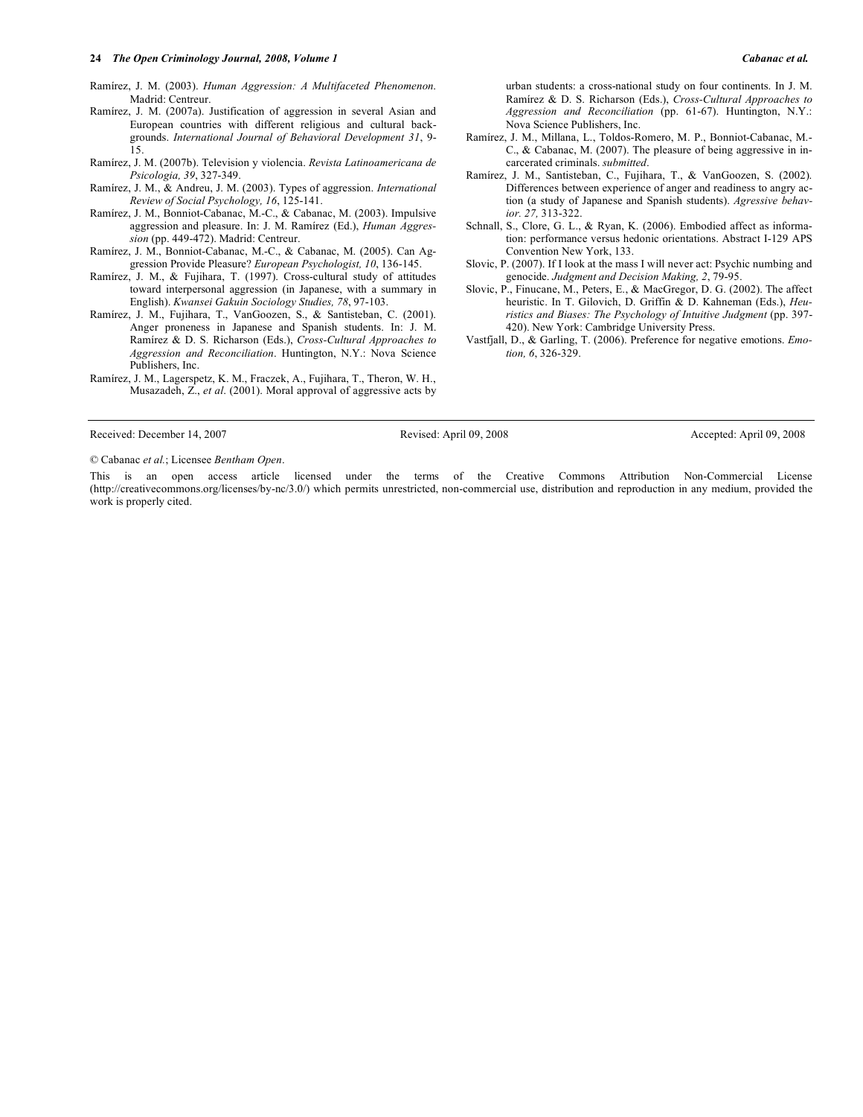### **24** *The Open Criminology Journal, 2008, Volume 1 Cabanac et al.*

Ramírez, J. M. (2003). *Human Aggression: A Multifaceted Phenomenon*. Madrid: Centreur.

- Ramírez, J. M. (2007a). Justification of aggression in several Asian and European countries with different religious and cultural backgrounds. *International Journal of Behavioral Development 31*, 9- 15.
- Ramírez, J. M. (2007b). Television y violencia. *Revista Latinoamericana de Psicologia, 39*, 327-349.
- Ramírez, J. M., & Andreu, J. M. (2003). Types of aggression. *International Review of Social Psychology, 16*, 125-141.
- Ramírez, J. M., Bonniot-Cabanac, M.-C., & Cabanac, M. (2003). Impulsive aggression and pleasure. In: J. M. Ramírez (Ed.), *Human Aggression* (pp. 449-472). Madrid: Centreur.
- Ramírez, J. M., Bonniot-Cabanac, M.-C., & Cabanac, M. (2005). Can Aggression Provide Pleasure? *European Psychologist, 10*, 136-145.
- Ramírez, J. M., & Fujihara, T. (1997). Cross-cultural study of attitudes toward interpersonal aggression (in Japanese, with a summary in English). *Kwansei Gakuin Sociology Studies, 78*, 97-103.
- Ramírez, J. M., Fujihara, T., VanGoozen, S., & Santisteban, C. (2001). Anger proneness in Japanese and Spanish students. In: J. M. Ramírez & D. S. Richarson (Eds.), *Cross-Cultural Approaches to Aggression and Reconciliation*. Huntington, N.Y.: Nova Science Publishers, Inc.
- Ramírez, J. M., Lagerspetz, K. M., Fraczek, A., Fujihara, T., Theron, W. H., Musazadeh, Z., *et al*. (2001). Moral approval of aggressive acts by

© Cabanac *et al.*; Licensee *Bentham Open*.

This is an open access article licensed under the terms of the Creative Commons Attribution Non-Commercial License (http://creativecommons.org/licenses/by-nc/3.0/) which permits unrestricted, non-commercial use, distribution and reproduction in any medium, provided the work is properly cited.

- urban students: a cross-national study on four continents. In J. M. Ramírez & D. S. Richarson (Eds.), *Cross-Cultural Approaches to Aggression and Reconciliation* (pp. 61-67). Huntington, N.Y.: Nova Science Publishers, Inc.
- Ramírez, J. M., Millana, L., Toldos-Romero, M. P., Bonniot-Cabanac, M.- C., & Cabanac, M. (2007). The pleasure of being aggressive in incarcerated criminals. *submitted*.
- Ramírez, J. M., Santisteban, C., Fujihara, T., & VanGoozen, S. (2002). Differences between experience of anger and readiness to angry action (a study of Japanese and Spanish students). *Agressive behavior. 27,* 313-322.
- Schnall, S., Clore, G. L., & Ryan, K. (2006). Embodied affect as information: performance versus hedonic orientations. Abstract I-129 APS Convention New York, 133.
- Slovic, P. (2007). If I look at the mass I will never act: Psychic numbing and genocide. *Judgment and Decision Making, 2*, 79-95.
- Slovic, P., Finucane, M., Peters, E., & MacGregor, D. G. (2002). The affect heuristic. In T. Gilovich, D. Griffin & D. Kahneman (Eds.), *Heuristics and Biases: The Psychology of Intuitive Judgment* (pp. 397- 420). New York: Cambridge University Press.
- Vastfjall, D., & Garling, T. (2006). Preference for negative emotions. *Emotion, 6*, 326-329.

Received: December 14, 2007 Revised: April 09, 2008 Revised: April 09, 2008 Accepted: April 09, 2008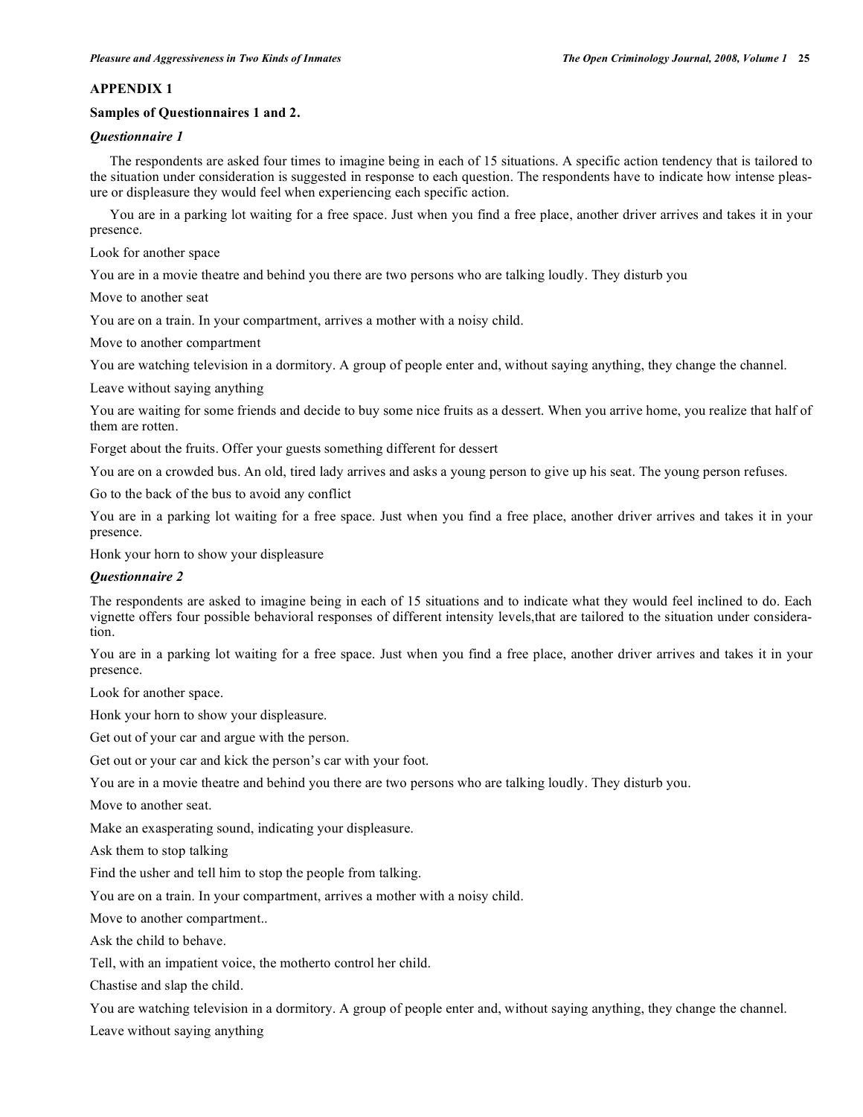# **APPENDIX 1**

# **Samples of Questionnaires 1 and 2.**

# *Questionnaire 1*

 The respondents are asked four times to imagine being in each of 15 situations. A specific action tendency that is tailored to the situation under consideration is suggested in response to each question. The respondents have to indicate how intense pleasure or displeasure they would feel when experiencing each specific action.

 You are in a parking lot waiting for a free space. Just when you find a free place, another driver arrives and takes it in your presence.

Look for another space

You are in a movie theatre and behind you there are two persons who are talking loudly. They disturb you

Move to another seat

You are on a train. In your compartment, arrives a mother with a noisy child.

Move to another compartment

You are watching television in a dormitory. A group of people enter and, without saying anything, they change the channel.

Leave without saying anything

You are waiting for some friends and decide to buy some nice fruits as a dessert. When you arrive home, you realize that half of them are rotten.

Forget about the fruits. Offer your guests something different for dessert

You are on a crowded bus. An old, tired lady arrives and asks a young person to give up his seat. The young person refuses.

Go to the back of the bus to avoid any conflict

You are in a parking lot waiting for a free space. Just when you find a free place, another driver arrives and takes it in your presence.

Honk your horn to show your displeasure

# *Questionnaire 2*

The respondents are asked to imagine being in each of 15 situations and to indicate what they would feel inclined to do. Each vignette offers four possible behavioral responses of different intensity levels,that are tailored to the situation under consideration.

You are in a parking lot waiting for a free space. Just when you find a free place, another driver arrives and takes it in your presence.

Look for another space.

Honk your horn to show your displeasure.

Get out of your car and argue with the person.

Get out or your car and kick the person's car with your foot.

You are in a movie theatre and behind you there are two persons who are talking loudly. They disturb you.

Move to another seat.

Make an exasperating sound, indicating your displeasure.

Ask them to stop talking

Find the usher and tell him to stop the people from talking.

You are on a train. In your compartment, arrives a mother with a noisy child.

Move to another compartment..

Ask the child to behave.

Tell, with an impatient voice, the motherto control her child.

Chastise and slap the child.

You are watching television in a dormitory. A group of people enter and, without saying anything, they change the channel. Leave without saying anything